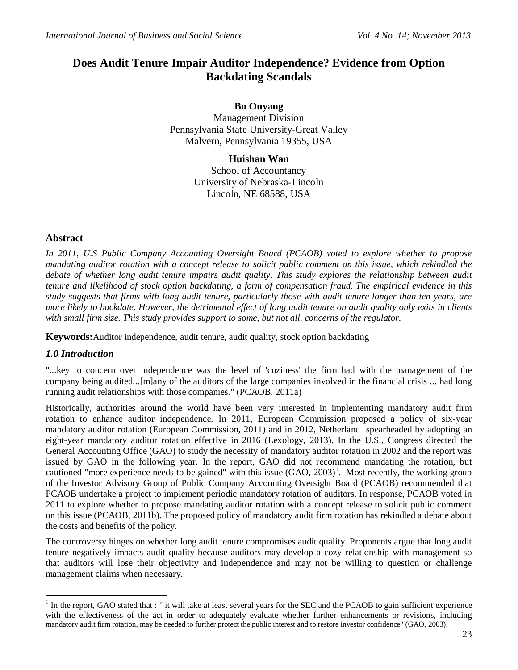# **Does Audit Tenure Impair Auditor Independence? Evidence from Option Backdating Scandals**

**Bo Ouyang** Management Division Pennsylvania State University-Great Valley Malvern, Pennsylvania 19355, USA

> **Huishan Wan** School of Accountancy University of Nebraska-Lincoln Lincoln, NE 68588, USA

#### **Abstract**

*In 2011, U.S Public Company Accounting Oversight Board (PCAOB) voted to explore whether to propose mandating auditor rotation with a concept release to solicit public comment on this issue, which rekindled the* debate of whether long audit tenure impairs audit quality. This study explores the relationship between audit *tenure and likelihood of stock option backdating, a form of compensation fraud. The empirical evidence in this study suggests that firms with long audit tenure, particularly those with audit tenure longer than ten years, are more likely to backdate. However, the detrimental effect of long audit tenure on audit quality only exits in clients with small firm size. This study provides support to some, but not all, concerns of the regulator.*

**Keywords:**Auditor independence, audit tenure, audit quality, stock option backdating

#### *1.0 Introduction*

 $\overline{a}$ 

"...key to concern over independence was the level of 'coziness' the firm had with the management of the company being audited...[m]any of the auditors of the large companies involved in the financial crisis ... had long running audit relationships with those companies." (PCAOB, 2011a)

Historically, authorities around the world have been very interested in implementing mandatory audit firm rotation to enhance auditor independence. In 2011, European Commission proposed a policy of six-year mandatory auditor rotation (European Commission, 2011) and in 2012, Netherland spearheaded by adopting an eight-year mandatory auditor rotation effective in 2016 (Lexology, 2013). In the U.S., Congress directed the General Accounting Office (GAO) to study the necessity of mandatory auditor rotation in 2002 and the report was issued by GAO in the following year. In the report, GAO did not recommend mandating the rotation, but cautioned "more experience needs to be gained" with this issue  $(GAO, 2003)$ <sup>1</sup>. Most recently, the working group of the Investor Advisory Group of Public Company Accounting Oversight Board (PCAOB) recommended that PCAOB undertake a project to implement periodic mandatory rotation of auditors. In response, PCAOB voted in 2011 to explore whether to propose mandating auditor rotation with a concept release to solicit public comment on this issue (PCAOB, 2011b). The proposed policy of mandatory audit firm rotation has rekindled a debate about the costs and benefits of the policy.

The controversy hinges on whether long audit tenure compromises audit quality. Proponents argue that long audit tenure negatively impacts audit quality because auditors may develop a cozy relationship with management so that auditors will lose their objectivity and independence and may not be willing to question or challenge management claims when necessary.

 $1$  In the report, GAO stated that : " it will take at least several years for the SEC and the PCAOB to gain sufficient experience with the effectiveness of the act in order to adequately evaluate whether further enhancements or revisions, including mandatory audit firm rotation, may be needed to further protect the public interest and to restore investor confidence" (GAO, 2003).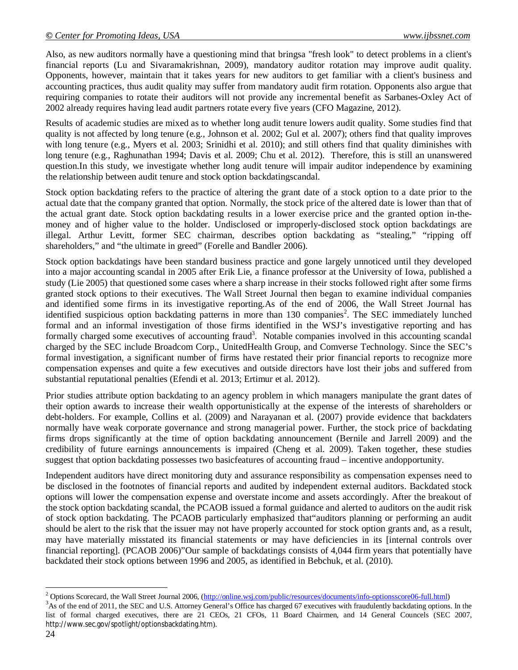Also, as new auditors normally have a questioning mind that bringsa "fresh look" to detect problems in a client's financial reports (Lu and Sivaramakrishnan, 2009), mandatory auditor rotation may improve audit quality. Opponents, however, maintain that it takes years for new auditors to get familiar with a client's business and accounting practices, thus audit quality may suffer from mandatory audit firm rotation. Opponents also argue that requiring companies to rotate their auditors will not provide any incremental benefit as Sarbanes-Oxley Act of 2002 already requires having lead audit partners rotate every five years (CFO Magazine, 2012).

Results of academic studies are mixed as to whether long audit tenure lowers audit quality. Some studies find that quality is not affected by long tenure (e.g., Johnson et al. 2002; Gul et al. 2007); others find that quality improves with long tenure (e.g., Myers et al. 2003; Srinidhi et al. 2010); and still others find that quality diminishes with long tenure (e.g., Raghunathan 1994; Davis et al. 2009; Chu et al. 2012). Therefore, this is still an unanswered question.In this study, we investigate whether long audit tenure will impair auditor independence by examining the relationship between audit tenure and stock option backdatingscandal.

Stock option backdating refers to the practice of altering the grant date of a stock option to a date prior to the actual date that the company granted that option. Normally, the stock price of the altered date is lower than that of the actual grant date. Stock option backdating results in a lower exercise price and the granted option in-themoney and of higher value to the holder. Undisclosed or improperly-disclosed stock option backdatings are illegal. Arthur Levitt, former SEC chairman, describes option backdating as "stealing," "ripping off shareholders," and "the ultimate in greed" (Forelle and Bandler 2006).

Stock option backdatings have been standard business practice and gone largely unnoticed until they developed into a major accounting scandal in 2005 after Erik Lie, a finance professor at the University of Iowa, published a study (Lie 2005) that questioned some cases where a sharp increase in their stocks followed right after some firms granted stock options to their executives. The Wall Street Journal then began to examine individual companies and identified some firms in its investigative reporting.As of the end of 2006, the Wall Street Journal has identified suspicious option backdating patterns in more than 130 companies<sup>2</sup>. The SEC immediately lunched formal and an informal investigation of those firms identified in the WSJ's investigative reporting and has formally charged some executives of accounting fraud<sup>3</sup>. Notable companies involved in this accounting scandal charged by the SEC include Broadcom Corp., UnitedHealth Group, and Comverse Technology. Since the SEC's formal investigation, a significant number of firms have restated their prior financial reports to recognize more compensation expenses and quite a few executives and outside directors have lost their jobs and suffered from substantial reputational penalties (Efendi et al. 2013; Ertimur et al. 2012).

Prior studies attribute option backdating to an agency problem in which managers manipulate the grant dates of their option awards to increase their wealth opportunistically at the expense of the interests of shareholders or debt-holders. For example, Collins et al. (2009) and Narayanan et al. (2007) provide evidence that backdaters normally have weak corporate governance and strong managerial power. Further, the stock price of backdating firms drops significantly at the time of option backdating announcement (Bernile and Jarrell 2009) and the credibility of future earnings announcements is impaired (Cheng et al. 2009). Taken together, these studies suggest that option backdating possesses two basicfeatures of accounting fraud – incentive andopportunity.

Independent auditors have direct monitoring duty and assurance responsibility as compensation expenses need to be disclosed in the footnotes of financial reports and audited by independent external auditors. Backdated stock options will lower the compensation expense and overstate income and assets accordingly. After the breakout of the stock option backdating scandal, the PCAOB issued a formal guidance and alerted to auditors on the audit risk of stock option backdating. The PCAOB particularly emphasized that"auditors planning or performing an audit should be alert to the risk that the issuer may not have properly accounted for stock option grants and, as a result, may have materially misstated its financial statements or may have deficiencies in its [internal controls over financial reporting]. (PCAOB 2006)"Our sample of backdatings consists of 4,044 firm years that potentially have backdated their stock options between 1996 and 2005, as identified in Bebchuk, et al. (2010).

 $\overline{\phantom{a}}$ <sup>2</sup> Options Scorecard, the Wall Street Journal 2006, (http://online.wsj.com/public/resources/documents/info-optionsscore06-full.html)

 $3$ As of the end of 2011, the SEC and U.S. Attorney General's Office has charged 67 executives with fraudulently backdating options. In the list of formal charged executives, there are 21 CEOs, 21 CFOs, 11 Board Chairmen, and 14 General Councels (SEC 2007, http://www.sec.gov/spotlight/optionsbackdating.htm).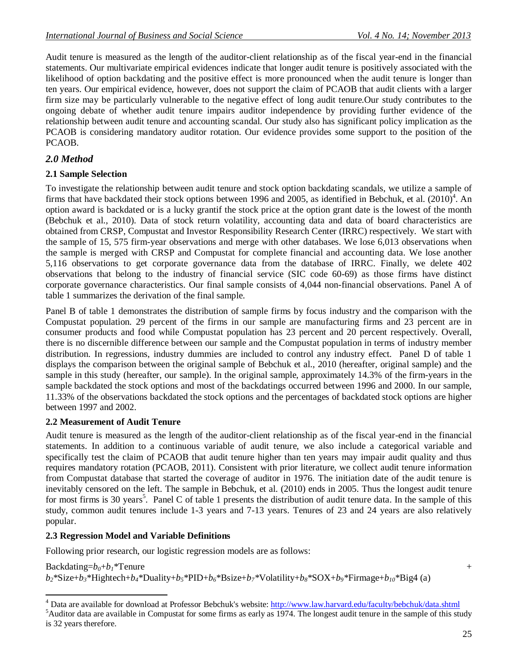Audit tenure is measured as the length of the auditor-client relationship as of the fiscal year-end in the financial statements. Our multivariate empirical evidences indicate that longer audit tenure is positively associated with the likelihood of option backdating and the positive effect is more pronounced when the audit tenure is longer than ten years. Our empirical evidence, however, does not support the claim of PCAOB that audit clients with a larger firm size may be particularly vulnerable to the negative effect of long audit tenure.Our study contributes to the ongoing debate of whether audit tenure impairs auditor independence by providing further evidence of the relationship between audit tenure and accounting scandal. Our study also has significant policy implication as the PCAOB is considering mandatory auditor rotation. Our evidence provides some support to the position of the PCAOB.

# *2.0 Method*

## **2.1 Sample Selection**

To investigate the relationship between audit tenure and stock option backdating scandals, we utilize a sample of firms that have backdated their stock options between 1996 and 2005, as identified in Bebchuk, et al.  $(2010)^4$ . An option award is backdated or is a lucky grantif the stock price at the option grant date is the lowest of the month (Bebchuk et al., 2010). Data of stock return volatility, accounting data and data of board characteristics are obtained from CRSP, Compustat and Investor Responsibility Research Center (IRRC) respectively. We start with the sample of 15, 575 firm-year observations and merge with other databases. We lose 6,013 observations when the sample is merged with CRSP and Compustat for complete financial and accounting data. We lose another 5,116 observations to get corporate governance data from the database of IRRC. Finally, we delete 402 observations that belong to the industry of financial service (SIC code 60-69) as those firms have distinct corporate governance characteristics. Our final sample consists of 4,044 non-financial observations. Panel A of table 1 summarizes the derivation of the final sample.

Panel B of table 1 demonstrates the distribution of sample firms by focus industry and the comparison with the Compustat population. 29 percent of the firms in our sample are manufacturing firms and 23 percent are in consumer products and food while Compustat population has 23 percent and 20 percent respectively. Overall, there is no discernible difference between our sample and the Compustat population in terms of industry member distribution. In regressions, industry dummies are included to control any industry effect. Panel D of table 1 displays the comparison between the original sample of Bebchuk et al., 2010 (hereafter, original sample) and the sample in this study (hereafter, our sample). In the original sample, approximately 14.3% of the firm-years in the sample backdated the stock options and most of the backdatings occurred between 1996 and 2000. In our sample, 11.33% of the observations backdated the stock options and the percentages of backdated stock options are higher between 1997 and 2002.

#### **2.2 Measurement of Audit Tenure**

Audit tenure is measured as the length of the auditor-client relationship as of the fiscal year-end in the financial statements. In addition to a continuous variable of audit tenure, we also include a categorical variable and specifically test the claim of PCAOB that audit tenure higher than ten years may impair audit quality and thus requires mandatory rotation (PCAOB, 2011). Consistent with prior literature, we collect audit tenure information from Compustat database that started the coverage of auditor in 1976. The initiation date of the audit tenure is inevitably censored on the left. The sample in Bebchuk, et al. (2010) ends in 2005. Thus the longest audit tenure for most firms is 30 years<sup>5</sup>. Panel C of table 1 presents the distribution of audit tenure data. In the sample of this study, common audit tenures include 1-3 years and 7-13 years. Tenures of 23 and 24 years are also relatively popular.

#### **2.3 Regression Model and Variable Definitions**

Following prior research, our logistic regression models are as follows:

 $Backdating=b_0+b_1*$ Tenure +

 $\overline{\phantom{a}}$ 

 $b_2$ \*Size+ $b_3$ \*Hightech+ $b_4$ \*Duality+ $b_5$ \*PID+ $b_6$ \*Bsize+ $b_7$ \*Volatility+ $b_8$ \*SOX+ $b_9$ \*Firmage+ $b_{10}$ \*Big4(a)

<sup>5</sup>Auditor data are available in Compustat for some firms as early as 1974. The longest audit tenure in the sample of this study is 32 years therefore.

<sup>&</sup>lt;sup>4</sup> Data are available for download at Professor Bebchuk's website: http://www.law.harvard.edu/faculty/bebchuk/data.shtml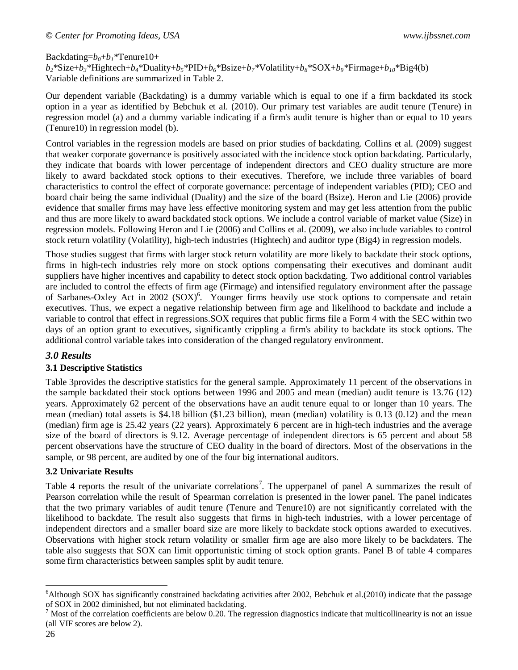#### Backdating= $b_0 + b_1$ <sup>\*</sup>Tenure10+

 $b_2$ \*Size+ $b_3$ \*Hightech+ $b_4$ \*Duality+ $b_5$ \*PID+ $b_6$ \*Bsize+ $b_7$ \*Volatility+ $b_8$ \*SOX+ $b_9$ \*Firmage+ $b_{10}$ \*Big4(b) Variable definitions are summarized in Table 2.

Our dependent variable (Backdating) is a dummy variable which is equal to one if a firm backdated its stock option in a year as identified by Bebchuk et al. (2010). Our primary test variables are audit tenure (Tenure) in regression model (a) and a dummy variable indicating if a firm's audit tenure is higher than or equal to 10 years (Tenure10) in regression model (b).

Control variables in the regression models are based on prior studies of backdating. Collins et al. (2009) suggest that weaker corporate governance is positively associated with the incidence stock option backdating. Particularly, they indicate that boards with lower percentage of independent directors and CEO duality structure are more likely to award backdated stock options to their executives. Therefore, we include three variables of board characteristics to control the effect of corporate governance: percentage of independent variables (PID); CEO and board chair being the same individual (Duality) and the size of the board (Bsize). Heron and Lie (2006) provide evidence that smaller firms may have less effective monitoring system and may get less attention from the public and thus are more likely to award backdated stock options. We include a control variable of market value (Size) in regression models. Following Heron and Lie (2006) and Collins et al. (2009), we also include variables to control stock return volatility (Volatility), high-tech industries (Hightech) and auditor type (Big4) in regression models.

Those studies suggest that firms with larger stock return volatility are more likely to backdate their stock options, firms in high-tech industries rely more on stock options compensating their executives and dominant audit suppliers have higher incentives and capability to detect stock option backdating. Two additional control variables are included to control the effects of firm age (Firmage) and intensified regulatory environment after the passage of Sarbanes-Oxley Act in 2002 (SOX)<sup>6</sup>. Younger firms heavily use stock options to compensate and retain executives. Thus, we expect a negative relationship between firm age and likelihood to backdate and include a variable to control that effect in regressions.SOX requires that public firms file a Form 4 with the SEC within two days of an option grant to executives, significantly crippling a firm's ability to backdate its stock options. The additional control variable takes into consideration of the changed regulatory environment.

#### *3.0 Results*

#### **3.1 Descriptive Statistics**

Table 3provides the descriptive statistics for the general sample. Approximately 11 percent of the observations in the sample backdated their stock options between 1996 and 2005 and mean (median) audit tenure is 13.76 (12) years. Approximately 62 percent of the observations have an audit tenure equal to or longer than 10 years. The mean (median) total assets is \$4.18 billion (\$1.23 billion), mean (median) volatility is 0.13 (0.12) and the mean (median) firm age is 25.42 years (22 years). Approximately 6 percent are in high-tech industries and the average size of the board of directors is 9.12. Average percentage of independent directors is 65 percent and about 58 percent observations have the structure of CEO duality in the board of directors. Most of the observations in the sample, or 98 percent, are audited by one of the four big international auditors.

#### **3.2 Univariate Results**

Table 4 reports the result of the univariate correlations<sup>7</sup>. The upperpanel of panel A summarizes the result of Pearson correlation while the result of Spearman correlation is presented in the lower panel. The panel indicates that the two primary variables of audit tenure (Tenure and Tenure10) are not significantly correlated with the likelihood to backdate. The result also suggests that firms in high-tech industries, with a lower percentage of independent directors and a smaller board size are more likely to backdate stock options awarded to executives. Observations with higher stock return volatility or smaller firm age are also more likely to be backdaters. The table also suggests that SOX can limit opportunistic timing of stock option grants. Panel B of table 4 compares some firm characteristics between samples split by audit tenure.

 $\overline{\phantom{a}}$ 

<sup>&</sup>lt;sup>6</sup>Although SOX has significantly constrained backdating activities after 2002, Bebchuk et al.(2010) indicate that the passage of SOX in 2002 diminished, but not eliminated backdating.

 $<sup>7</sup>$  Most of the correlation coefficients are below 0.20. The regression diagnostics indicate that multicollinearity is not an issue</sup> (all VIF scores are below 2).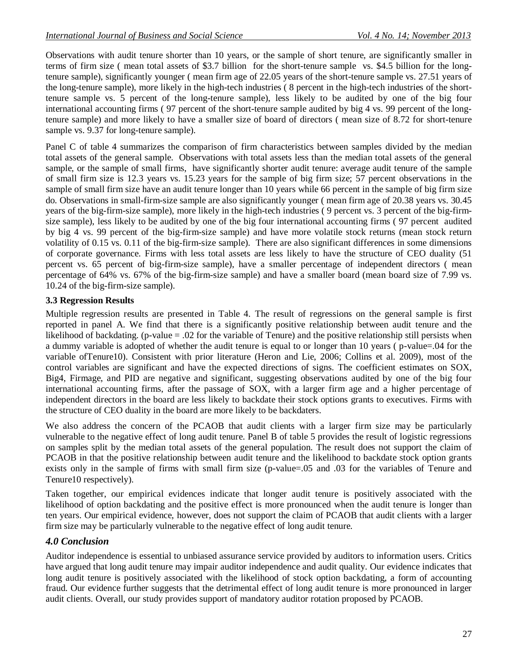Observations with audit tenure shorter than 10 years, or the sample of short tenure, are significantly smaller in terms of firm size ( mean total assets of \$3.7 billion for the short-tenure sample vs. \$4.5 billion for the longtenure sample), significantly younger ( mean firm age of 22.05 years of the short-tenure sample vs. 27.51 years of the long-tenure sample), more likely in the high-tech industries ( 8 percent in the high-tech industries of the shorttenure sample vs. 5 percent of the long-tenure sample), less likely to be audited by one of the big four international accounting firms ( 97 percent of the short-tenure sample audited by big 4 vs. 99 percent of the longtenure sample) and more likely to have a smaller size of board of directors ( mean size of 8.72 for short-tenure sample vs. 9.37 for long-tenure sample).

Panel C of table 4 summarizes the comparison of firm characteristics between samples divided by the median total assets of the general sample. Observations with total assets less than the median total assets of the general sample, or the sample of small firms, have significantly shorter audit tenure: average audit tenure of the sample of small firm size is 12.3 years vs. 15.23 years for the sample of big firm size; 57 percent observations in the sample of small firm size have an audit tenure longer than 10 years while 66 percent in the sample of big firm size do. Observations in small-firm-size sample are also significantly younger ( mean firm age of 20.38 years vs. 30.45 years of the big-firm-size sample), more likely in the high-tech industries ( 9 percent vs. 3 percent of the big-firmsize sample), less likely to be audited by one of the big four international accounting firms ( 97 percent audited by big 4 vs. 99 percent of the big-firm-size sample) and have more volatile stock returns (mean stock return volatility of 0.15 vs. 0.11 of the big-firm-size sample). There are also significant differences in some dimensions of corporate governance. Firms with less total assets are less likely to have the structure of CEO duality (51 percent vs. 65 percent of big-firm-size sample), have a smaller percentage of independent directors ( mean percentage of 64% vs. 67% of the big-firm-size sample) and have a smaller board (mean board size of 7.99 vs. 10.24 of the big-firm-size sample).

## **3.3 Regression Results**

Multiple regression results are presented in Table 4. The result of regressions on the general sample is first reported in panel A. We find that there is a significantly positive relationship between audit tenure and the likelihood of backdating. (p-value = .02 for the variable of Tenure) and the positive relationship still persists when a dummy variable is adopted of whether the audit tenure is equal to or longer than 10 years ( p-value=.04 for the variable ofTenure10). Consistent with prior literature (Heron and Lie, 2006; Collins et al. 2009), most of the control variables are significant and have the expected directions of signs. The coefficient estimates on SOX, Big4, Firmage, and PID are negative and significant, suggesting observations audited by one of the big four international accounting firms, after the passage of SOX, with a larger firm age and a higher percentage of independent directors in the board are less likely to backdate their stock options grants to executives. Firms with the structure of CEO duality in the board are more likely to be backdaters.

We also address the concern of the PCAOB that audit clients with a larger firm size may be particularly vulnerable to the negative effect of long audit tenure. Panel B of table 5 provides the result of logistic regressions on samples split by the median total assets of the general population. The result does not support the claim of PCAOB in that the positive relationship between audit tenure and the likelihood to backdate stock option grants exists only in the sample of firms with small firm size (p-value=.05 and .03 for the variables of Tenure and Tenure10 respectively).

Taken together, our empirical evidences indicate that longer audit tenure is positively associated with the likelihood of option backdating and the positive effect is more pronounced when the audit tenure is longer than ten years. Our empirical evidence, however, does not support the claim of PCAOB that audit clients with a larger firm size may be particularly vulnerable to the negative effect of long audit tenure.

# *4.0 Conclusion*

Auditor independence is essential to unbiased assurance service provided by auditors to information users. Critics have argued that long audit tenure may impair auditor independence and audit quality. Our evidence indicates that long audit tenure is positively associated with the likelihood of stock option backdating, a form of accounting fraud. Our evidence further suggests that the detrimental effect of long audit tenure is more pronounced in larger audit clients. Overall, our study provides support of mandatory auditor rotation proposed by PCAOB.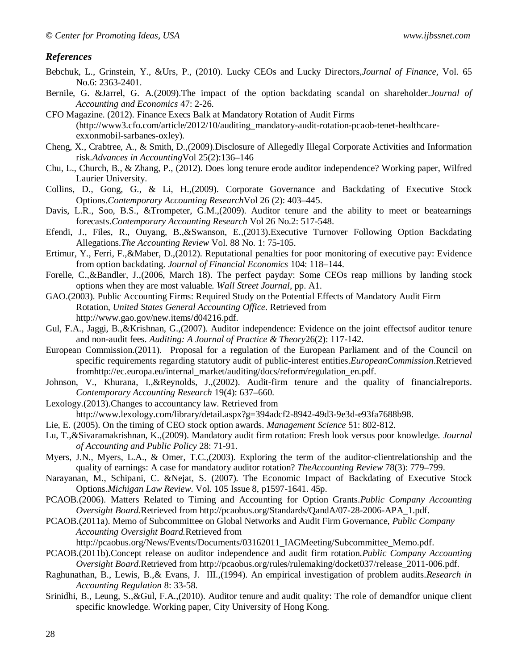#### *References*

- Bebchuk, L., Grinstein, Y., &Urs, P., (2010). Lucky CEOs and Lucky Directors,*Journal of Finance*, Vol. 65 No.6: 2363-2401.
- Bernile, G. &Jarrel, G. A.(2009).The impact of the option backdating scandal on shareholder.*Journal of Accounting and Economics* 47: 2-26.
- CFO Magazine. (2012). Finance Execs Balk at Mandatory Rotation of Audit Firms (http://www3.cfo.com/article/2012/10/auditing\_mandatory-audit-rotation-pcaob-tenet-healthcareexxonmobil-sarbanes-oxley).
- Cheng, X., Crabtree, A., & Smith, D.,(2009).Disclosure of Allegedly Illegal Corporate Activities and Information risk.*Advances in Accounting*Vol 25(2):136–146
- Chu, L., Church, B., & Zhang, P., (2012). Does long tenure erode auditor independence? Working paper, Wilfred Laurier University.
- Collins, D., Gong, G., & Li, H.,(2009). Corporate Governance and Backdating of Executive Stock Options.*Contemporary Accounting Research*Vol 26 (2): 403–445.
- Davis, L.R., Soo, B.S., &Trompeter, G.M.,(2009). Auditor tenure and the ability to meet or beatearnings forecasts.*Contemporary Accounting Research* Vol 26 No.2: 517-548.
- Efendi, J., Files, R., Ouyang, B.,&Swanson, E.,(2013).Executive Turnover Following Option Backdating Allegations.*The Accounting Review* Vol. 88 No. 1: 75-105.
- Ertimur, Y., Ferri, F.,&Maber, D.,(2012). Reputational penalties for poor monitoring of executive pay: Evidence from option backdating. *Journal of Financial Economics* 104: 118–144.
- Forelle, C.,&Bandler, J.,(2006, March 18). The perfect payday: Some CEOs reap millions by landing stock options when they are most valuable. *Wall Street Journal,* pp. A1.
- GAO.(2003). Public Accounting Firms: Required Study on the Potential Effects of Mandatory Audit Firm Rotation, *United States General Accounting Office*. Retrieved from http://www.gao.gov/new.items/d04216.pdf.
- Gul, F.A., Jaggi, B.,&Krishnan, G.,(2007). Auditor independence: Evidence on the joint effectsof auditor tenure and non-audit fees. *Auditing: A Journal of Practice & Theory*26(2): 117-142.
- European Commission.(2011). Proposal for a regulation of the European Parliament and of the Council on specific requirements regarding statutory audit of public-interest entities.*EuropeanCommission*.Retrieved fromhttp://ec.europa.eu/internal\_market/auditing/docs/reform/regulation\_en.pdf.
- Johnson, V., Khurana, I.,&Reynolds, J.,(2002). Audit-firm tenure and the quality of financialreports. *Contemporary Accounting Research* 19(4): 637–660.
- Lexology.(2013).Changes to accountancy law. Retrieved from http://www.lexology.com/library/detail.aspx?g=394adcf2-8942-49d3-9e3d-e93fa7688b98.
- Lie, E. (2005). On the timing of CEO stock option awards. *Management Science* 51: 802-812.
- Lu, T.,&Sivaramakrishnan, K.,(2009). Mandatory audit firm rotation: Fresh look versus poor knowledge. *Journal of Accounting and Public Policy* 28: 71-91.
- Myers, J.N., Myers, L.A., & Omer, T.C.,(2003). Exploring the term of the auditor-clientrelationship and the quality of earnings: A case for mandatory auditor rotation? *TheAccounting Review* 78(3): 779–799.
- Narayanan, M., Schipani, C. &Nejat, S. (2007). The Economic Impact of Backdating of Executive Stock Options.*Michigan Law Review*. Vol. 105 Issue 8, p1597-1641. 45p.
- PCAOB.(2006). Matters Related to Timing and Accounting for Option Grants.*Public Company Accounting Oversight Board.*Retrieved from http://pcaobus.org/Standards/QandA/07-28-2006-APA\_1.pdf.
- PCAOB.(2011a). Memo of Subcommittee on Global Networks and Audit Firm Governance, *Public Company Accounting Oversight Board.*Retrieved from

http://pcaobus.org/News/Events/Documents/03162011\_IAGMeeting/Subcommittee\_Memo.pdf.

- PCAOB.(2011b).Concept release on auditor independence and audit firm rotation.*Public Company Accounting Oversight Board*.Retrieved from http://pcaobus.org/rules/rulemaking/docket037/release\_2011-006.pdf.
- Raghunathan, B., Lewis, B.,& Evans, J. III.,(1994). An empirical investigation of problem audits.*Research in Accounting Regulation* 8: 33-58.
- Srinidhi, B., Leung, S.,&Gul, F.A.,(2010). Auditor tenure and audit quality: The role of demandfor unique client specific knowledge. Working paper, City University of Hong Kong.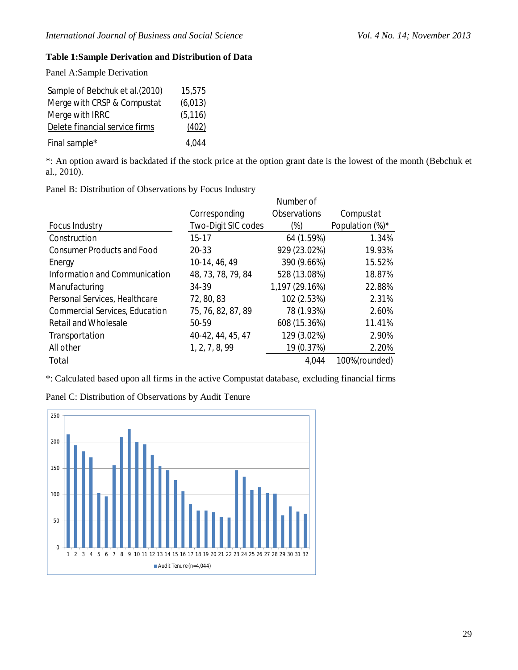## **Table 1:Sample Derivation and Distribution of Data**

Panel A:Sample Derivation

| Sample of Bebchuk et al. (2010) | 15,575   |
|---------------------------------|----------|
| Merge with CRSP & Compustat     | (6,013)  |
| Merge with IRRC                 | (5, 116) |
| Delete financial service firms  | (402)    |
| Final sample*                   | 4,044    |

\*: An option award is backdated if the stock price at the option grant date is the lowest of the month (Bebchuk et al., 2010).

Panel B: Distribution of Observations by Focus Industry

|                                       |                     | Number of      |                 |
|---------------------------------------|---------------------|----------------|-----------------|
|                                       | Corresponding       | Observations   | Compustat       |
| Focus Industry                        | Two-Digit SIC codes | (%)            | Population (%)* |
| Construction                          | $15 - 17$           | 64 (1.59%)     | 1.34%           |
| <b>Consumer Products and Food</b>     | 20-33               | 929 (23.02%)   | 19.93%          |
| Energy                                | 10-14, 46, 49       | 390 (9.66%)    | 15.52%          |
| Information and Communication         | 48, 73, 78, 79, 84  | 528 (13.08%)   | 18.87%          |
| Manufacturing                         | 34-39               | 1,197 (29.16%) | 22.88%          |
| Personal Services, Healthcare         | 72, 80, 83          | 102 (2.53%)    | 2.31%           |
| <b>Commercial Services, Education</b> | 75, 76, 82, 87, 89  | 78 (1.93%)     | 2.60%           |
| <b>Retail and Wholesale</b>           | 50-59               | 608 (15.36%)   | 11.41%          |
| Transportation                        | 40-42, 44, 45, 47   | 129 (3.02%)    | 2.90%           |
| All other                             | 1, 2, 7, 8, 99      | 19 (0.37%)     | 2.20%           |
| Total                                 |                     | 4,044          | 100%(rounded)   |

\*: Calculated based upon all firms in the active Compustat database, excluding financial firms



Panel C: Distribution of Observations by Audit Tenure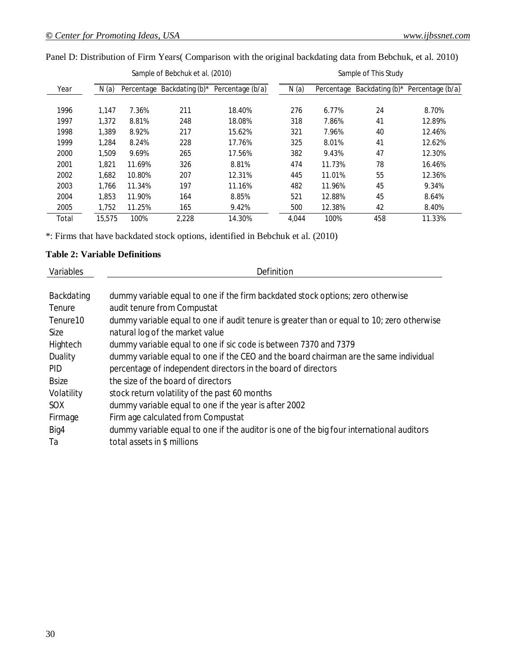|       |        |        | Sample of Bebchuk et al. (2010) |                  | Sample of This Study |            |     |                                     |  |
|-------|--------|--------|---------------------------------|------------------|----------------------|------------|-----|-------------------------------------|--|
| Year  | N(a)   |        | Percentage Backdating (b)*      | Percentage (b/a) | N(a)                 | Percentage |     | Backdating $(b)^*$ Percentage (b/a) |  |
|       |        |        |                                 |                  |                      |            |     |                                     |  |
| 1996  | 1.147  | 7.36%  | 211                             | 18.40%           | 276                  | 6.77%      | 24  | 8.70%                               |  |
| 1997  | 1.372  | 8.81%  | 248                             | 18.08%           | 318                  | 7.86%      | 41  | 12.89%                              |  |
| 1998  | 1.389  | 8.92%  | 217                             | 15.62%           | 321                  | 7.96%      | 40  | 12.46%                              |  |
| 1999  | 1,284  | 8.24%  | 228                             | 17.76%           | 325                  | 8.01%      | 41  | 12.62%                              |  |
| 2000  | 1.509  | 9.69%  | 265                             | 17.56%           | 382                  | 9.43%      | 47  | 12.30%                              |  |
| 2001  | 1.821  | 11.69% | 326                             | 8.81%            | 474                  | 11.73%     | 78  | 16.46%                              |  |
| 2002  | 1.682  | 10.80% | 207                             | 12.31%           | 445                  | 11.01%     | 55  | 12.36%                              |  |
| 2003  | 1.766  | 11.34% | 197                             | 11.16%           | 482                  | 11.96%     | 45  | 9.34%                               |  |
| 2004  | 1.853  | 11.90% | 164                             | 8.85%            | 521                  | 12.88%     | 45  | 8.64%                               |  |
| 2005  | 1,752  | 11.25% | 165                             | 9.42%            | 500                  | 12.38%     | 42  | 8.40%                               |  |
| Total | 15,575 | 100%   | 2,228                           | 14.30%           | 4.044                | 100%       | 458 | 11.33%                              |  |

Panel D: Distribution of Firm Years( Comparison with the original backdating data from Bebchuk, et al. 2010)

\*: Firms that have backdated stock options, identified in Bebchuk et al. (2010)

#### **Table 2: Variable Definitions**

| Variables            | Definition                                                                                 |
|----------------------|--------------------------------------------------------------------------------------------|
|                      |                                                                                            |
| Backdating           | dummy variable equal to one if the firm backdated stock options; zero otherwise            |
| Tenure               | audit tenure from Compustat                                                                |
| Tenure <sub>10</sub> | dummy variable equal to one if audit tenure is greater than or equal to 10; zero otherwise |
| <b>Size</b>          | natural log of the market value                                                            |
| Hightech             | dummy variable equal to one if sic code is between 7370 and 7379                           |
| Duality              | dummy variable equal to one if the CEO and the board chairman are the same individual      |
| <b>PID</b>           | percentage of independent directors in the board of directors                              |
| <b>Bsize</b>         | the size of the board of directors                                                         |
| Volatility           | stock return volatility of the past 60 months                                              |
| SOX.                 | dummy variable equal to one if the year is after 2002                                      |
| Firmage              | Firm age calculated from Compustat                                                         |
| Big4                 | dummy variable equal to one if the auditor is one of the big four international auditors   |
| Ta                   | total assets in \$ millions                                                                |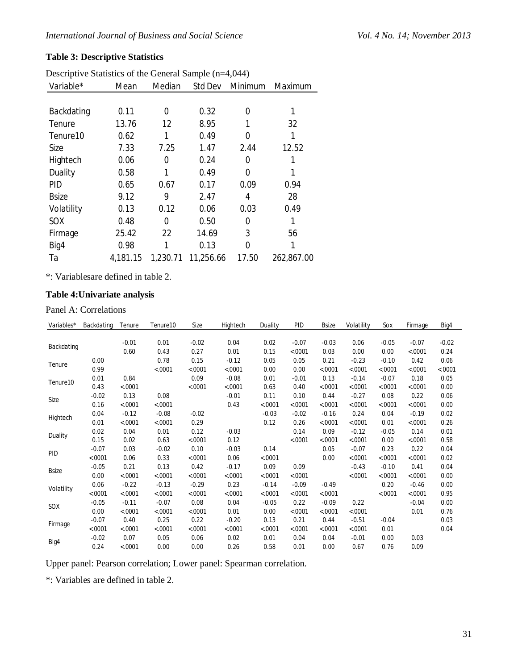# **Table 3: Descriptive Statistics**

| Descriptive Statistics of the General Sample (n=4,044) |          |          |           |         |            |  |  |  |  |
|--------------------------------------------------------|----------|----------|-----------|---------|------------|--|--|--|--|
| Variable*                                              | Mean     | Median   | Std Dev   | Minimum | Maximum    |  |  |  |  |
|                                                        |          |          |           |         |            |  |  |  |  |
| Backdating                                             | 0.11     | 0        | 0.32      | 0       | 1          |  |  |  |  |
| Tenure                                                 | 13.76    | 12       | 8.95      | 1       | 32         |  |  |  |  |
| Tenure <sub>10</sub>                                   | 0.62     | 1        | 0.49      | 0       |            |  |  |  |  |
| Size                                                   | 7.33     | 7.25     | 1.47      | 2.44    | 12.52      |  |  |  |  |
| Hightech                                               | 0.06     | 0        | 0.24      | 0       |            |  |  |  |  |
| Duality                                                | 0.58     | 1        | 0.49      | 0       | 1          |  |  |  |  |
| <b>PID</b>                                             | 0.65     | 0.67     | 0.17      | 0.09    | 0.94       |  |  |  |  |
| <b>Bsize</b>                                           | 9.12     | 9        | 2.47      | 4       | 28         |  |  |  |  |
| Volatility                                             | 0.13     | 0.12     | 0.06      | 0.03    | 0.49       |  |  |  |  |
| SOX                                                    | 0.48     | 0        | 0.50      | 0       | 1          |  |  |  |  |
| Firmage                                                | 25.42    | 22       | 14.69     | 3       | 56         |  |  |  |  |
| Big4                                                   | 0.98     |          | 0.13      | 0       | 1          |  |  |  |  |
| Ta                                                     | 4,181.15 | 1,230.71 | 11,256.66 | 17.50   | 262,867.00 |  |  |  |  |

\*: Variablesare defined in table 2.

# **Table 4:Univariate analysis**

Panel A: Correlations

| Variables*   | Backdating | Tenure  | Tenure <sub>10</sub> | Size    | Hightech | Duality | PID     | Bsize   | Volatility | Sox     | Firmage  | Big4    |
|--------------|------------|---------|----------------------|---------|----------|---------|---------|---------|------------|---------|----------|---------|
|              |            |         |                      |         |          |         |         |         |            |         |          |         |
| Backdating   |            | $-0.01$ | 0.01                 | $-0.02$ | 0.04     | 0.02    | $-0.07$ | $-0.03$ | 0.06       | $-0.05$ | $-0.07$  | $-0.02$ |
|              |            | 0.60    | 0.43                 | 0.27    | 0.01     | 0.15    | < .0001 | 0.03    | 0.00       | 0.00    | < .0001  | 0.24    |
| Tenure       | 0.00       |         | 0.78                 | 0.15    | $-0.12$  | 0.05    | 0.05    | 0.21    | $-0.23$    | $-0.10$ | 0.42     | 0.06    |
|              | 0.99       |         | < .0001              | < .0001 | < .0001  | 0.00    | 0.00    | < .0001 | < .0001    | < .0001 | < .0001  | < .0001 |
| Tenure10     | 0.01       | 0.84    |                      | 0.09    | $-0.08$  | 0.01    | $-0.01$ | 0.13    | $-0.14$    | $-0.07$ | 0.18     | 0.05    |
|              | 0.43       | < .0001 |                      | < .0001 | < .0001  | 0.63    | 0.40    | < .0001 | < .0001    | < .0001 | < .0001  | 0.00    |
| Size         | $-0.02$    | 0.13    | 0.08                 |         | $-0.01$  | 0.11    | 0.10    | 0.44    | $-0.27$    | 0.08    | 0.22     | 0.06    |
|              | 0.16       | < .0001 | < .0001              |         | 0.43     | < .0001 | < .0001 | < .0001 | < .0001    | < .0001 | $-.0001$ | 0.00    |
| Hightech     | 0.04       | $-0.12$ | $-0.08$              | $-0.02$ |          | $-0.03$ | $-0.02$ | $-0.16$ | 0.24       | 0.04    | $-0.19$  | 0.02    |
|              | 0.01       | < .0001 | < .0001              | 0.29    |          | 0.12    | 0.26    | < .0001 | < .0001    | 0.01    | $-.0001$ | 0.26    |
| Duality      | 0.02       | 0.04    | 0.01                 | 0.12    | $-0.03$  |         | 0.14    | 0.09    | $-0.12$    | $-0.05$ | 0.14     | 0.01    |
|              | 0.15       | 0.02    | 0.63                 | < .0001 | 0.12     |         | < .0001 | < .0001 | < .0001    | 0.00    | < .0001  | 0.58    |
| PID          | $-0.07$    | 0.03    | $-0.02$              | 0.10    | $-0.03$  | 0.14    |         | 0.05    | $-0.07$    | 0.23    | 0.22     | 0.04    |
|              | < .0001    | 0.06    | 0.33                 | < .0001 | 0.06     | < .0001 |         | 0.00    | < .0001    | < .0001 | $-.0001$ | 0.02    |
| <b>Bsize</b> | $-0.05$    | 0.21    | 0.13                 | 0.42    | $-0.17$  | 0.09    | 0.09    |         | $-0.43$    | $-0.10$ | 0.41     | 0.04    |
|              | 0.00       | < .0001 | < .0001              | < .0001 | < .0001  | < .0001 | < .0001 |         | < .0001    | < .0001 | $-.0001$ | 0.00    |
| Volatility   | 0.06       | $-0.22$ | $-0.13$              | $-0.29$ | 0.23     | $-0.14$ | $-0.09$ | $-0.49$ |            | 0.20    | $-0.46$  | 0.00    |
|              | < .0001    | < .0001 | < .0001              | < .0001 | < .0001  | < .0001 | < .0001 | < .0001 |            | < .0001 | < .0001  | 0.95    |
| SOX          | $-0.05$    | $-0.11$ | $-0.07$              | 0.08    | 0.04     | $-0.05$ | 0.22    | $-0.09$ | 0.22       |         | $-0.04$  | 0.00    |
|              | 0.00       | < .0001 | < .0001              | < .0001 | 0.01     | 0.00    | < .0001 | < .0001 | < .0001    |         | 0.01     | 0.76    |
| Firmage      | $-0.07$    | 0.40    | 0.25                 | 0.22    | $-0.20$  | 0.13    | 0.21    | 0.44    | $-0.51$    | $-0.04$ |          | 0.03    |
|              | < .0001    | < .0001 | < .0001              | < .0001 | < .0001  | < .0001 | < .0001 | < .0001 | < .0001    | 0.01    |          | 0.04    |
| Big4         | $-0.02$    | 0.07    | 0.05                 | 0.06    | 0.02     | 0.01    | 0.04    | 0.04    | $-0.01$    | 0.00    | 0.03     |         |
|              | 0.24       | < .0001 | 0.00                 | 0.00    | 0.26     | 0.58    | 0.01    | 0.00    | 0.67       | 0.76    | 0.09     |         |

Upper panel: Pearson correlation; Lower panel: Spearman correlation.

\*: Variables are defined in table 2.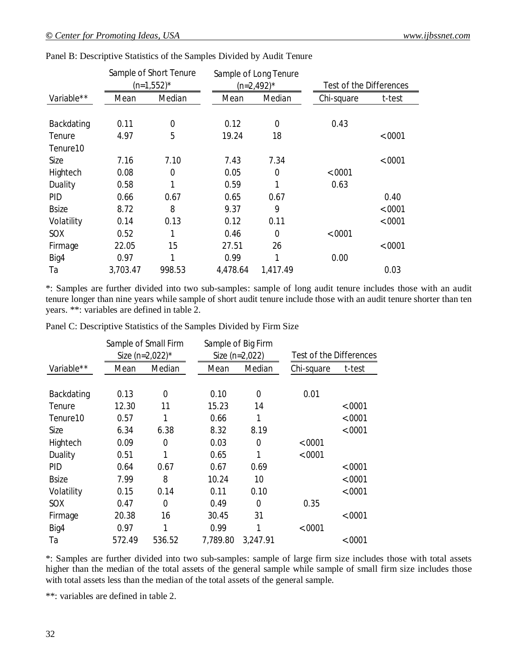|              |                | Sample of Short Tenure<br>$(n=1,552)^*$ |          | Sample of Long Tenure<br>$(n=2,492)^*$ |  | Test of the Differences |          |
|--------------|----------------|-----------------------------------------|----------|----------------------------------------|--|-------------------------|----------|
| Variable**   | Median<br>Mean |                                         | Mean     | Median                                 |  | Chi-square              | t-test   |
|              |                |                                         |          |                                        |  |                         |          |
| Backdating   | 0.11           | $\mathbf 0$                             | 0.12     | 0                                      |  | 0.43                    |          |
| Tenure       | 4.97           | 5                                       | 19.24    | 18                                     |  |                         | < .0001  |
| Tenure10     |                |                                         |          |                                        |  |                         |          |
| Size         | 7.16           | 7.10                                    | 7.43     | 7.34                                   |  |                         | < .0001  |
| Hightech     | 0.08           | 0                                       | 0.05     | 0                                      |  | < .0001                 |          |
| Duality      | 0.58           |                                         | 0.59     | 1                                      |  | 0.63                    |          |
| <b>PID</b>   | 0.66           | 0.67                                    | 0.65     | 0.67                                   |  |                         | 0.40     |
| <b>Bsize</b> | 8.72           | 8                                       | 9.37     | 9                                      |  |                         | < .0001  |
| Volatility   | 0.14           | 0.13                                    | 0.12     | 0.11                                   |  |                         | $-.0001$ |
| SOX          | 0.52           |                                         | 0.46     | 0                                      |  | < .0001                 |          |
| Firmage      | 22.05          | 15                                      | 27.51    | 26                                     |  |                         | < .0001  |
| Big4         | 0.97           | 1                                       | 0.99     | 1                                      |  | 0.00                    |          |
| Ta           | 3,703.47       | 998.53                                  | 4,478.64 | 1,417.49                               |  |                         | 0.03     |

Panel B: Descriptive Statistics of the Samples Divided by Audit Tenure

\*: Samples are further divided into two sub-samples: sample of long audit tenure includes those with an audit tenure longer than nine years while sample of short audit tenure include those with an audit tenure shorter than ten years. \*\*: variables are defined in table 2.

|  |  | Panel C: Descriptive Statistics of the Samples Divided by Firm Size |  |  |  |
|--|--|---------------------------------------------------------------------|--|--|--|
|  |  |                                                                     |  |  |  |

|                      |        | Sample of Small Firm |  |                  | Sample of Big Firm |                                |          |
|----------------------|--------|----------------------|--|------------------|--------------------|--------------------------------|----------|
|                      |        | Size (n=2,022)*      |  | Size $(n=2,022)$ |                    | <b>Test of the Differences</b> |          |
| Variable**           | Mean   | Median               |  | Mean             | Median             | Chi-square                     | t-test   |
|                      |        |                      |  |                  |                    |                                |          |
| Backdating           | 0.13   | $\Omega$             |  | 0.10             | 0                  | 0.01                           |          |
| Tenure               | 12.30  | 11                   |  | 15.23            | 14                 |                                | $-.0001$ |
| Tenure <sub>10</sub> | 0.57   | 1                    |  | 0.66             | 1                  |                                | < .0001  |
| Size                 | 6.34   | 6.38                 |  | 8.32             | 8.19               |                                | < .0001  |
| Hightech             | 0.09   | 0                    |  | 0.03             | 0                  | $-.0001$                       |          |
| Duality              | 0.51   | 1                    |  | 0.65             | 1                  | < .0001                        |          |
| <b>PID</b>           | 0.64   | 0.67                 |  | 0.67             | 0.69               |                                | < .0001  |
| <b>Bsize</b>         | 7.99   | 8                    |  | 10.24            | 10                 |                                | < .0001  |
| Volatility           | 0.15   | 0.14                 |  | 0.11             | 0.10               |                                | < .0001  |
| SOX                  | 0.47   | $\Omega$             |  | 0.49             | 0                  | 0.35                           |          |
| Firmage              | 20.38  | 16                   |  | 30.45            | 31                 |                                | < .0001  |
| Big4                 | 0.97   | 1                    |  | 0.99             | 1                  | < .0001                        |          |
| Тa                   | 572.49 | 536.52               |  | 7,789.80         | 3,247.91           |                                | < .0001  |

\*: Samples are further divided into two sub-samples: sample of large firm size includes those with total assets higher than the median of the total assets of the general sample while sample of small firm size includes those with total assets less than the median of the total assets of the general sample.

\*\*: variables are defined in table 2.